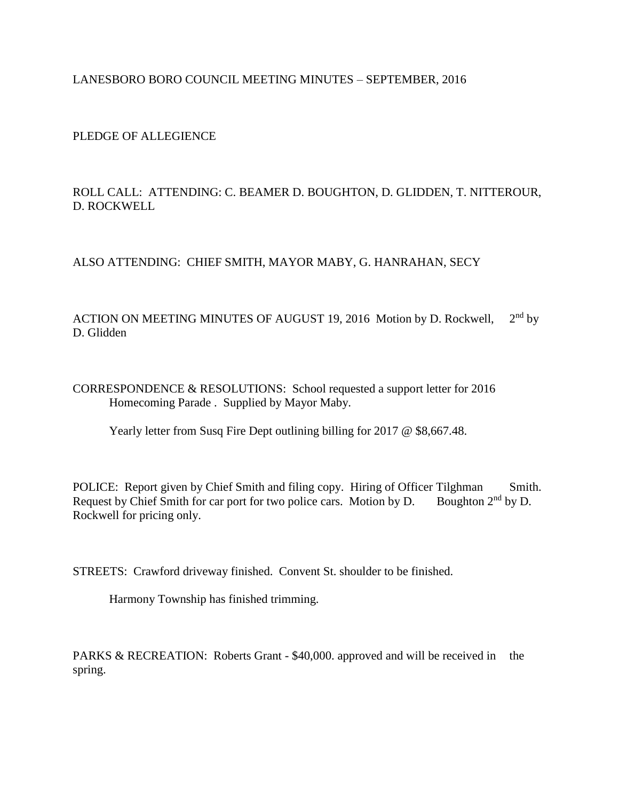## LANESBORO BORO COUNCIL MEETING MINUTES – SEPTEMBER, 2016

PLEDGE OF ALLEGIENCE

ROLL CALL: ATTENDING: C. BEAMER D. BOUGHTON, D. GLIDDEN, T. NITTEROUR, D. ROCKWELL

ALSO ATTENDING: CHIEF SMITH, MAYOR MABY, G. HANRAHAN, SECY

ACTION ON MEETING MINUTES OF AUGUST 19, 2016 Motion by D. Rockwell, 2  $2<sup>nd</sup>$  by D. Glidden

CORRESPONDENCE & RESOLUTIONS: School requested a support letter for 2016 Homecoming Parade . Supplied by Mayor Maby.

Yearly letter from Susq Fire Dept outlining billing for 2017 @ \$8,667.48.

POLICE: Report given by Chief Smith and filing copy. Hiring of Officer Tilghman Smith.<br>Request by Chief Smith for car port for two police cars. Motion by D. Boughton 2<sup>nd</sup> by D. Request by Chief Smith for car port for two police cars. Motion by D. Rockwell for pricing only.

STREETS: Crawford driveway finished. Convent St. shoulder to be finished.

Harmony Township has finished trimming.

PARKS & RECREATION: Roberts Grant - \$40,000. approved and will be received in the spring.